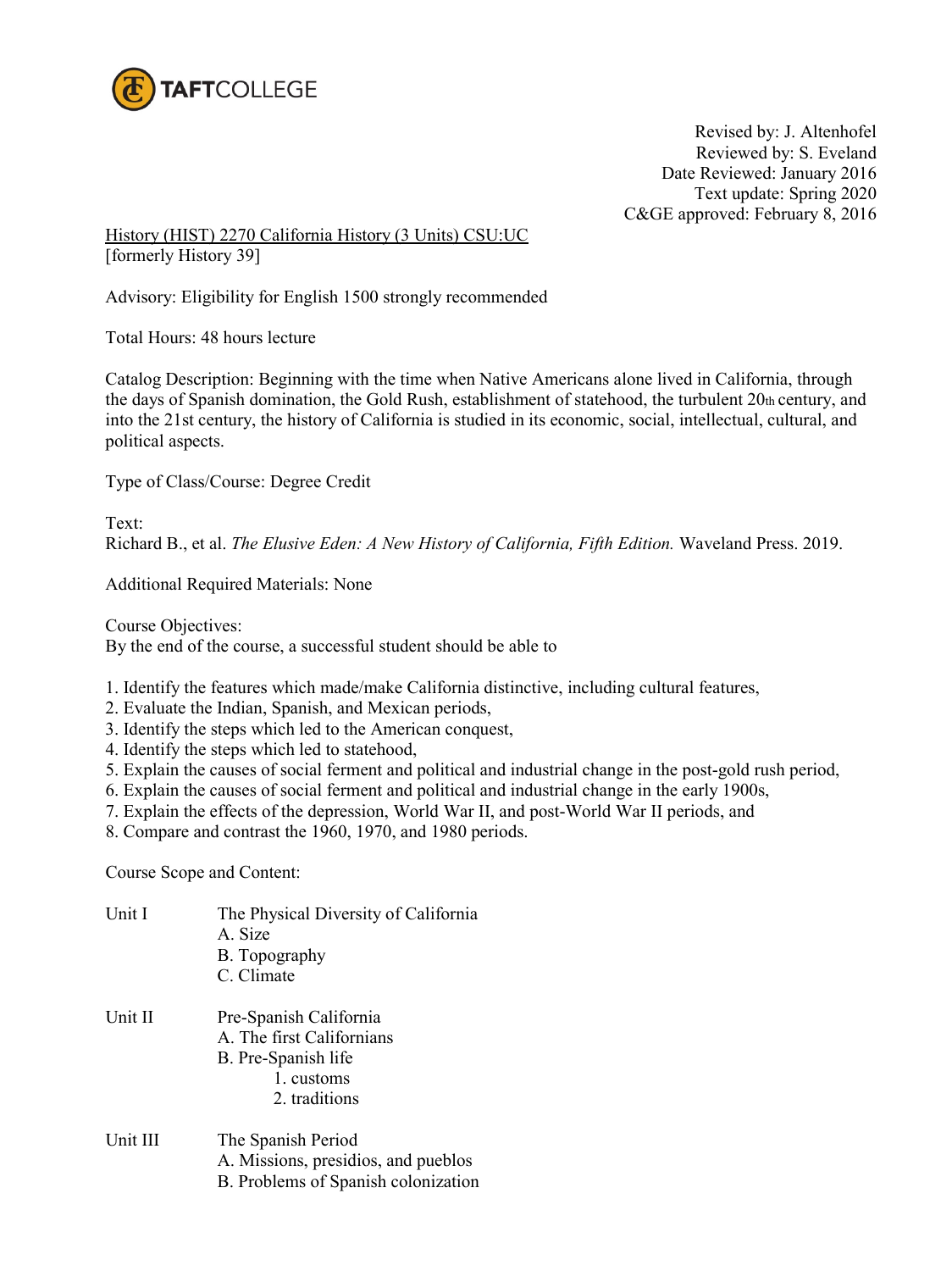

Revised by: J. Altenhofel Reviewed by: S. Eveland Date Reviewed: January 2016 Text update: Spring 2020 C&GE approved: February 8, 2016

## History (HIST) 2270 California History (3 Units) CSU:UC [formerly History 39]

Advisory: Eligibility for English 1500 strongly recommended

Total Hours: 48 hours lecture

Catalog Description: Beginning with the time when Native Americans alone lived in California, through the days of Spanish domination, the Gold Rush, establishment of statehood, the turbulent 20th century, and into the 21st century, the history of California is studied in its economic, social, intellectual, cultural, and political aspects.

Type of Class/Course: Degree Credit

Text: Richard B., et al. *The Elusive Eden: A New History of California, Fifth Edition.* Waveland Press. 2019.

Additional Required Materials: None

Course Objectives: By the end of the course, a successful student should be able to

- 1. Identify the features which made/make California distinctive, including cultural features,
- 2. Evaluate the Indian, Spanish, and Mexican periods,
- 3. Identify the steps which led to the American conquest,
- 4. Identify the steps which led to statehood,
- 5. Explain the causes of social ferment and political and industrial change in the post-gold rush period,
- 6. Explain the causes of social ferment and political and industrial change in the early 1900s,
- 7. Explain the effects of the depression, World War II, and post-World War II periods, and
- 8. Compare and contrast the 1960, 1970, and 1980 periods.

Course Scope and Content:

Unit I The Physical Diversity of California A. Size B. Topography C. Climate Unit II Pre-Spanish California A. The first Californians B. Pre-Spanish life 1. customs 2. traditions Unit III The Spanish Period A. Missions, presidios, and pueblos B. Problems of Spanish colonization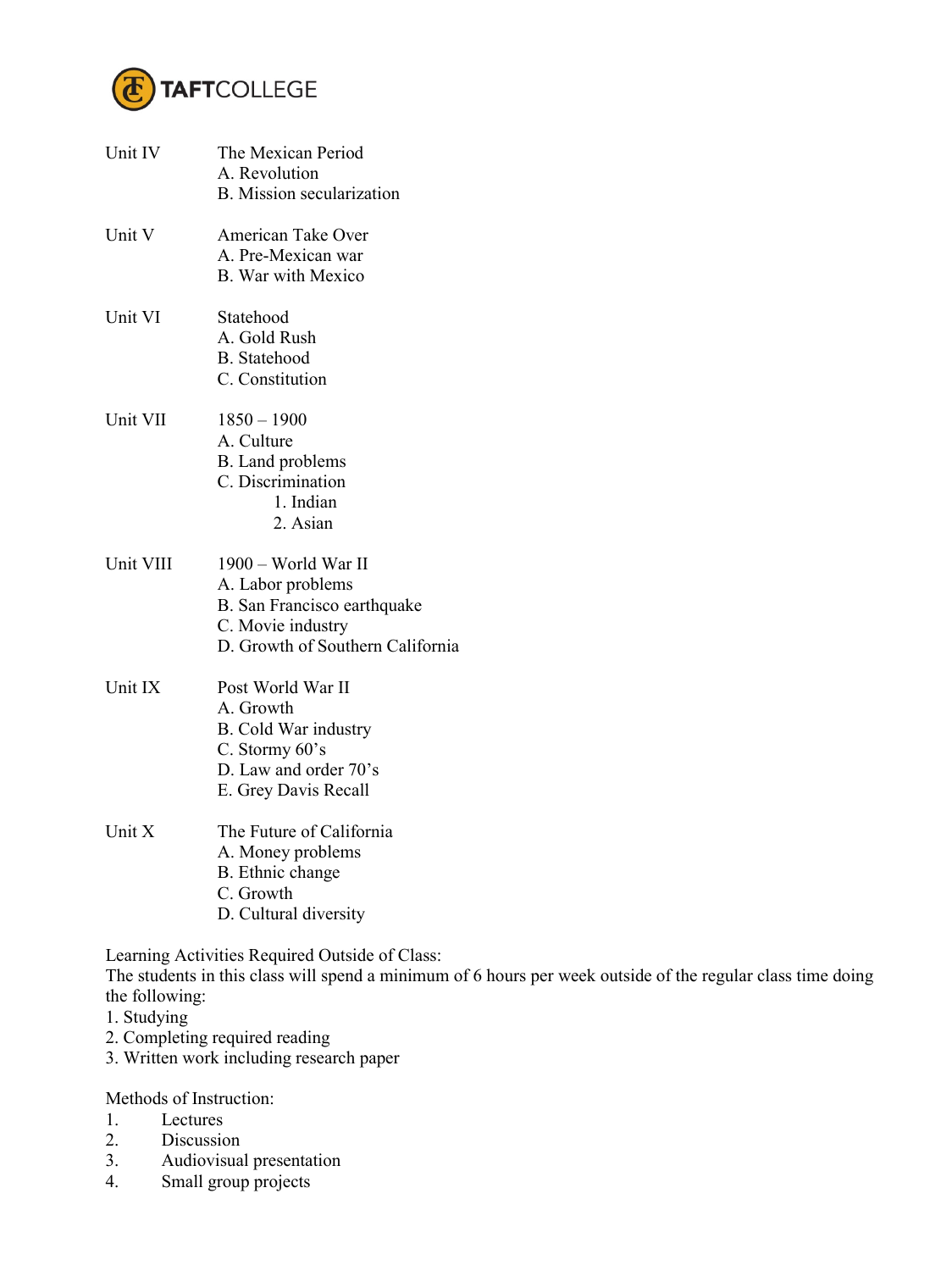

| Unit IV   | The Mexican Period<br>A. Revolution<br><b>B.</b> Mission secularization                                                          |
|-----------|----------------------------------------------------------------------------------------------------------------------------------|
| Unit V    | American Take Over<br>A Pre-Mexican war<br><b>B.</b> War with Mexico                                                             |
| Unit VI   | Statehood<br>A. Gold Rush<br><b>B.</b> Statehood<br>C. Constitution                                                              |
| Unit VII  | $1850 - 1900$<br>A. Culture<br>B. Land problems<br>C. Discrimination<br>1. Indian<br>2. Asian                                    |
| Unit VIII | 1900 – World War II<br>A. Labor problems<br>B. San Francisco earthquake<br>C. Movie industry<br>D. Growth of Southern California |
| Unit IX   | Post World War II<br>A. Growth<br><b>B.</b> Cold War industry<br>C. Stormy 60's<br>D. Law and order 70's<br>E. Grey Davis Recall |
| Unit X    | The Future of California<br>A. Money problems<br>B. Ethnic change<br>C. Growth<br>D. Cultural diversity                          |

Learning Activities Required Outside of Class:

The students in this class will spend a minimum of 6 hours per week outside of the regular class time doing the following:

- 1. Studying
- 2. Completing required reading
- 3. Written work including research paper

Methods of Instruction:

- 1. Lectures
- 2. Discussion
- 3. Audiovisual presentation
- 4. Small group projects